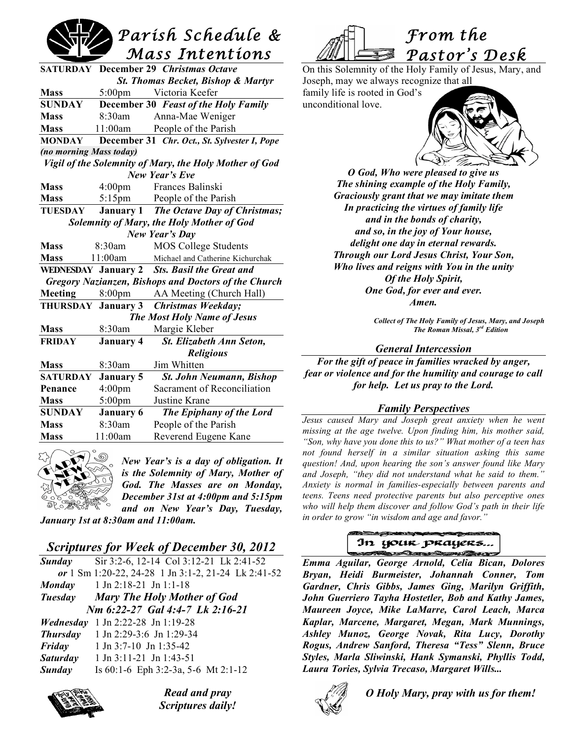# *Parish Schedule & Mass Intentions*

|                                                             |                    | <b>SATURDAY</b> December 29 Christmas Octave |  |  |
|-------------------------------------------------------------|--------------------|----------------------------------------------|--|--|
| <b>St. Thomas Becket, Bishop &amp; Martyr</b>               |                    |                                              |  |  |
| <b>Mass</b>                                                 | $5:00 \text{pm}$   | Victoria Keefer                              |  |  |
| SUNDAY                                                      |                    | December 30 Feast of the Holy Family         |  |  |
| <b>Mass</b>                                                 | 8:30am             | Anna-Mae Weniger                             |  |  |
| <b>Mass</b>                                                 | 11:00am            | People of the Parish                         |  |  |
| <b>MONDAY</b>                                               |                    | December 31 Chr. Oct., St. Sylvester I, Pope |  |  |
| (no morning Mass today)                                     |                    |                                              |  |  |
| Vigil of the Solemnity of Mary, the Holy Mother of God      |                    |                                              |  |  |
| New Year's Eve                                              |                    |                                              |  |  |
| <b>Mass</b>                                                 | $4:00 \text{pm}$   | Frances Balinski                             |  |  |
| <b>Mass</b>                                                 |                    | 5:15pm People of the Parish                  |  |  |
| <b>TUESDAY</b>                                              |                    | January 1 The Octave Day of Christmas;       |  |  |
| Solemnity of Mary, the Holy Mother of God                   |                    |                                              |  |  |
| New Year's Day                                              |                    |                                              |  |  |
| <b>Mass</b>                                                 | 8:30am             | <b>MOS College Students</b>                  |  |  |
| <b>Mass</b>                                                 |                    | 11:00am Michael and Catherine Kichurchak     |  |  |
|                                                             |                    | WEDNESDAY January 2 Sts. Basil the Great and |  |  |
| <b>Gregory Nazianzen, Bishops and Doctors of the Church</b> |                    |                                              |  |  |
| <b>Meeting</b>                                              | 8:00 <sub>pm</sub> | AA Meeting (Church Hall)                     |  |  |
|                                                             |                    | THURSDAY January 3 Christmas Weekday;        |  |  |
| The Most Holy Name of Jesus                                 |                    |                                              |  |  |
| <b>Mass</b>                                                 | 8:30am             | Margie Kleber                                |  |  |
| <b>FRIDAY</b>                                               | <b>January 4</b>   | St. Elizabeth Ann Seton,                     |  |  |
|                                                             |                    | <b>Religious</b>                             |  |  |
| <b>Mass</b>                                                 | 8:30am             | Jim Whitten                                  |  |  |
| <b>SATURDAY</b>                                             | <b>January 5</b>   | St. John Neumann, Bishop                     |  |  |
| Penance                                                     | 4:00 <sub>pm</sub> | Sacrament of Reconciliation                  |  |  |
| <b>Mass</b>                                                 | $5:00$ pm          | Justine Krane                                |  |  |
| <b>SUNDAY</b>                                               | <b>January 6</b>   | The Epiphany of the Lord                     |  |  |
| <b>Mass</b>                                                 | 8:30am             | People of the Parish                         |  |  |
| <b>Mass</b>                                                 | 11:00am            | Reverend Eugene Kane                         |  |  |



*New Year's is a day of obligation. It is the Solemnity of Mary, Mother of God. The Masses are on Monday, December 31st at 4:00pm and 5:15pm and on New Year's Day, Tuesday,*

*January 1st at 8:30am and 11:00am.*

# *Scriptures for Week of December 30, 2012*

| <b>Sunday</b>                   | Sir 3:2-6, 12-14 Col 3:12-21 Lk 2:41-52             |  |  |  |
|---------------------------------|-----------------------------------------------------|--|--|--|
|                                 | or 1 Sm 1:20-22, 24-28 1 Jn 3:1-2, 21-24 Lk 2:41-52 |  |  |  |
|                                 | <b>Monday</b> 1 Jn 2:18-21 Jn 1:1-18                |  |  |  |
|                                 | <b>Tuesday</b> Mary The Holy Mother of God          |  |  |  |
| Nm 6:22-27 Gal 4:4-7 Lk 2:16-21 |                                                     |  |  |  |
| Wednesday                       | 1 Jn 2:22-28 Jn 1:19-28                             |  |  |  |
| <b>Thursday</b>                 | 1 Jn 2:29-3:6 Jn 1:29-34                            |  |  |  |
| Friday                          | $1$ Jn 3:7-10 Jn 1:35-42                            |  |  |  |
| <b>Saturday</b>                 | 1 Jn 3:11-21 Jn 1:43-51                             |  |  |  |
| <b>Sunday</b>                   | Is $60:1-6$ Eph 3:2-3a, 5-6 Mt 2:1-12               |  |  |  |
|                                 |                                                     |  |  |  |



*Read and pray Scriptures daily!*



On this Solemnity of the Holy Family of Jesus, Mary, and Joseph, may we always recognize that all

family life is rooted in God's unconditional love.



*O God, Who were pleased to give us The shining example of the Holy Family, Graciously grant that we may imitate them In practicing the virtues of family life and in the bonds of charity, and so, in the joy of Your house, delight one day in eternal rewards. Through our Lord Jesus Christ, Your Son, Who lives and reigns with You in the unity Of the Holy Spirit, One God, for ever and ever. Amen.*

> *Collect of The Holy Family of Jesus, Mary, and Joseph The Roman Missal, 3rd Edition*

#### *General Intercession*

*For the gift of peace in families wracked by anger, fear or violence and for the humility and courage to call for help. Let us pray to the Lord.*

#### *Family Perspectives*

*Jesus caused Mary and Joseph great anxiety when he went missing at the age twelve. Upon finding him, his mother said, "Son, why have you done this to us?" What mother of a teen has not found herself in a similar situation asking this same question! And, upon hearing the son's answer found like Mary and Joseph, "they did not understand what he said to them." Anxiety is normal in families-especially between parents and teens. Teens need protective parents but also perceptive ones who will help them discover and follow God's path in their life in order to grow "in wisdom and age and favor."*

#### In your prayers... Same you have

*Emma Aguilar, George Arnold, Celia Bican, Dolores Bryan, Heidi Burmeister, Johannah Conner, Tom Gardner, Chris Gibbs, James Ging, Marilyn Griffith, John Guerriero Tayha Hostetler, Bob and Kathy James, Maureen Joyce, Mike LaMarre, Carol Leach, Marca Kaplar, Marcene, Margaret, Megan, Mark Munnings, Ashley Munoz, George Novak, Rita Lucy, Dorothy Rogus, Andrew Sanford, Theresa "Tess" Slenn, Bruce Styles, Marla Sliwinski, Hank Symanski, Phyllis Todd, Laura Tories, Sylvia Trecaso, Margaret Wills...*



*O Holy Mary, pray with us for them!*